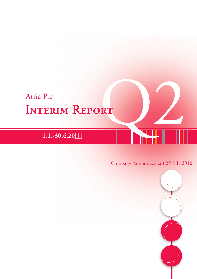# Atria Plc<br>**INTERIM REPORT Interim Report**

# Company Announcement 29 July 2010

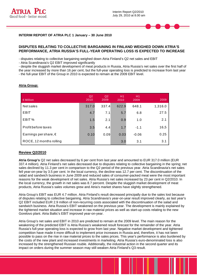



#### **DISPUTES RELATING TO COLLECTIVE BARGAINING IN FINLAND WEIGHED DOWN ATRIA'S PERFORMANCE, ATRIA RUSSIA'S FULL-YEAR OPERATING LOSS IS EXPECTED TO INCREASE**

- disputes relating to collective bargaining weighed down Atria Finland's Q2 net sales and EBIT

- Atria Scandinavia's Q2 EBIT improved significantly

- despite the sluggish market development of meat products in Russia, Atria Russia's net sales over the first half of the year increased by more than 16 per cent, but the full-year operating loss is predicted to increase from last year - the full-year EBIT of the Group in 2010 is expected to remain at the 2009 EBIT level.

| €Million                       | Q <sub>2</sub><br>2010 | Q2<br>2009 | H1<br>2010 | H1<br>2009 | 2009    |
|--------------------------------|------------------------|------------|------------|------------|---------|
| <b>Netsales</b>                | 317.0                  | 337.4      | 622.9      | 648.1      | 1,316.0 |
| EBIT                           | 4.7                    | 7.1        | 5.7        | 6.8        | 27.5    |
| EBIT%                          | 1.5                    | 2.1        | 0.9        | 1.0        | 2.1     |
| Profit before taxes            | 3.5                    | 4.4        | 1.7        | $-1.1$     | 16,5    |
| Earnings per share, $\epsilon$ | 0.10                   | 0.09       | 0.03       | $-0.06$    | 0.25    |
| ROCE, 12 months rolling        |                        |            | 3.0        | 3.1        | 3.1     |

## **Atria Group:**

# **Review Q2/2010**

**Atria Group's** Q2 net sales decreased by 6 per cent from last year and amounted to EUR 317.0 million (EUR 337.4 million). Atria Finland's net sales decreased due to disputes relating to collective bargaining in the spring; net sales declined by 11.3 per cent in comparison to the Q2 period of the previous year. Atria Scandinavia's net sales fell year-on-year by 3.5 per cent. In the local currency, the decline was 12.7 per cent. The discontinuation of the salad and sandwich business in June 2009 and reduced sales of consumer-packed meat were the most important reasons for the weak development of net sales. Atria Russia's net sales increased by 23 per cent in Q2/2010. In the local currency, the growth in net sales was 8.7 percent. Despite the sluggish market development of meat products, Atria Russia's sales volumes grew and Atria's market shares have slightly strengthened.

Atria Group's EBIT was EUR 4.7 million. Atria Finland's result decreased principally due to the sales lost because of disputes relating to collective bargaining. Atria Scandinavia's year-on-year result improved clearly, as last year's Q2 EBIT included EUR 2.9 million of non-recurring costs associated with the discontinuation of the salad and sandwich business. Atria Russia's EBIT weakened on the previous year. The development is mainly explained by the tightened market situation and increase in raw material prices as well as start-up costs relating to the new Gorelovo plant. Atria Baltic's EBIT improved year-on-year.

Atria Group's net sales and EBIT in 2010 are predicted to remain at the 2009 level. The main reason for the weakening of the predicted EBIT is Atria Russia's weakened result forecast for the remainder of the year. Atria Russia's full-year operating loss is expected to grow from last year. Negative market development and tightened competition have made it more difficult to implement price increases in Russia and, therefore, it has not been possible to pass on the rise in raw material prices to the sales prices. This year's performance is also burdened by the costs of the new plant and increased investments in marketing. Atria Russia's euro-denominated loss is also increased by the strengthened Russian rouble. Additionally, the industrial action in the second quarter and its impact on orders during the summer season may still weaken Atria Finland's Q3 result.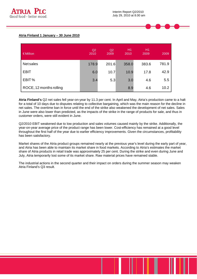

#### **Atria Finland 1 January – 30 June 2010**

| €Million                | Q2<br>2010 | Q2<br>2009 | H <sub>1</sub><br>2010 | H1<br>2009 | 2009  |
|-------------------------|------------|------------|------------------------|------------|-------|
| <b>Net sales</b>        | 178.9      | 201.6      | 358.0                  | 383.6      | 781.9 |
| <b>EBIT</b>             | 6.0        | 10.7       | 10.9                   | 17.8       | 42.9  |
| EBIT%                   | 3.4        | 5.3        | 3.0                    | 4.6        | 5.5   |
| ROCE, 12 months rolling |            |            | 8.9                    | 4.6        | 10.2  |

**Atria Finland's** Q2 net sales fell year-on-year by 11.3 per cent. In April and May, Atria's production came to a halt for a total of 10 days due to disputes relating to collective bargaining, which was the main reason for the decline in net sales. The overtime ban in force until the end of the strike also weakened the development of net sales. Sales in June were also lower than predicted, as the impacts of the strike in the range of products for sale, and thus in customer orders, were still evident in June.

Q2/2010 EBIT weakened due to low production and sales volumes caused mainly by the strike. Additionally, the year-on-year average price of the product range has been lower. Cost-efficiency has remained at a good level throughout the first half of the year due to earlier efficiency improvements. Given the circumstances, profitability has been satisfactory.

Market shares of the Atria product groups remained nearly at the previous year's level during the early part of year, and Atria has been able to maintain its market share in food markets. According to Atria's estimates the market share of Atria products in retail trade was approximately 25 per cent. During the strike and even during June and July, Atria temporarily lost some of its market share. Raw material prices have remained stable.

The industrial actions in the second quarter and their impact on orders during the summer season may weaken Atria Finland's Q3 result.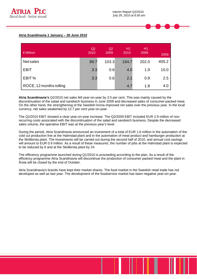

#### **Atria Scandinavia 1 January – 30 June 2010**

| EMillion                | Q2<br>2010 | Q2<br>2009 | H1<br>2010 | H1<br>2009 | 2009  |
|-------------------------|------------|------------|------------|------------|-------|
| <b>Netsales</b>         | 99.7       | 103.3      | 194.7      | 202.0      | 405.2 |
| <b>EBIT</b>             | 3.3        | 0.6        | 4.0        | 1.9        | 10.0  |
| EBIT%                   | 3.3        | 0.6        | 2.1        | 0.9        | 2.5   |
| ROCE, 12 months rolling |            |            | 4.7        | 1.8        | 4.0   |

**Atria Scandinavia's** Q2/2010 net sales fell year-on-year by 3.5 per cent. This was mainly caused by the discontinuation of the salad and sandwich business in June 2009 and decreased sales of consumer-packed meat. On the other hand, the strengthening of the Swedish krona improved net sales over the previous year. In the local currency, net sales weakened by 12.7 per cent year-on-year.

The Q2/2010 EBIT showed a clear year-on-year increase. The Q2/2009 EBIT included EUR 2.9 million of nonrecurring costs associated with the discontinuation of the salad and sandwich business. Despite the decreased sales volume, the operative EBIT was at the previous year's level.

During the period, Atria Scandinavia announced an investment of a total of EUR 1.6 million in the automation of the cold cut production line at the Halmstad plant and in the automation of meat product and hamburger production at the Sköllersta plant. The investments will be carried out during the second half of 2010, and annual cost savings will amount to EUR 0.9 million. As a result of these measures, the number of jobs at the Halmstad plant is expected to be reduced by 6 and at the Sköllersta plant by 24.

The efficiency programme launched during Q1/2010 is proceeding according to the plan. As a result of the efficiency programme Atria Scandinavia will discontinue the production of consumer packed meat and the plant in Årsta will be closed by the end of October.

Atria Scandinavia's brands have kept their market shares. The food market in the Swedish retail trade has not developed as well as last year. The development of the foodservice market has been negative year-on-year.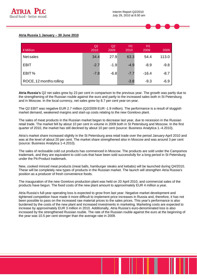

#### **Atria Russia 1 January – 30 June 2010**

| €Million                | Q2<br>2010 | Q <sub>2</sub><br>2009 | H1<br>2010 | H <sub>1</sub><br>2009 | 2009   |
|-------------------------|------------|------------------------|------------|------------------------|--------|
| <b>Netsales</b>         | 34.4       | 27.9                   | 63.3       | 54.4                   | 113.0  |
| <b>EBIT</b>             | $-2.7$     | $-1.9$                 | $-4.9$     | $-8.9$                 | $-9.8$ |
| EBIT%                   | $-7.8$     | $-6.8$                 | $-7.7$     | $-16.4$                | $-8.7$ |
| ROCE, 12 months rolling |            |                        | $-3.8$     | $-9.3$                 | $-6.9$ |

**Atria Russia's** Q2 net sales grew by 23 per cent in comparison to the previous year. The growth was partly due to the strengthening of the Russian rouble against the euro and partly to the increased sales both in St Petersburg and in Moscow. In the local currency, net sales grew by 8.7 per cent year-on-year.

The Q2 EBIT was negative EUR 2.7 million (Q2/2009 EUR -1.9 million). The performance is a result of sluggish market demand, weakened margins and start-up costs relating to the new Gorelovo plant.

The sales of meat products in the Russian market began to decrease last year, due to recession in the Russian retail trade. The market fell by about 10 per cent in volume in 2009 both in St Petersburg and Moscow. In the first quarter of 2010, the market has still declined by about 10 per cent (source: Business Analytica 1.-4.2010).

Atria's market share increased slightly in the St Petersburg area retail trade over the period January-April 2010 and was at the level of about 20 per cent. The market share strengthened also in Moscow and was around 3 per cent (source: Business Analytica 1-4.2010).

The sales of reclosable cold cut products has commenced in Moscow. The products are sold under the Campomos trademark, and they are equivalent to cold cuts that have been sold successfully for a long period in St Petersburg under the Pit-Product trademark.

New, cooked minced meat products (meat balls, hamburger steaks and kebabs) will be launched during Q4/2010. These will be completely new types of products in the Russian market. The launch will strengthen Atria Russia's position as a producer of fresh convenience foods.

The inauguration of the new Gorelovo production plant was held on 20 April 2010, and commercial sales of the products have begun. The fixed costs of the new plant amount to approximately EUR 4 million a year.

Atria Russia's full-year operating loss is expected to grow from last year. Negative market development and tightened competition have made it more difficult to implement price increases in Russia and, therefore, it has not been possible to pass on the increased raw material prices to the sales prices. This year's performance is also burdened by the costs of the new plant and increased investments in marketing. Marketing costs are expected to increase by approximately EUR 3 million in 2010. Additionally, Atria Russia's euro-denominated loss is also increased by the strengthened Russian rouble. The rate of the Russian rouble against the euro at the beginning of the year was 10.5 per cent stronger than the average rate in 2009.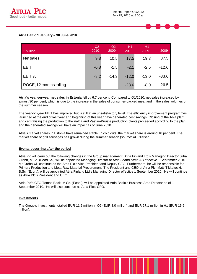

#### **Atria Baltic 1 January – 30 June 2010**

| €Million                | Q2<br>2010 | Q2<br>2009 | H1<br>2010 | H1<br>2009 | 2009    |
|-------------------------|------------|------------|------------|------------|---------|
| <b>Net sales</b>        | 9.8        | 10.5       | 17.5       | 19.3       | 37.5    |
| <b>EBIT</b>             | $-0.8$     | $-1.5$     | $-2.1$     | $-2.5$     | $-12.6$ |
| EBIT%                   | $-8.2$     | $-14.3$    | $-12.0$    | $-13.0$    | $-33.6$ |
| ROCE, 12 months rolling |            |            | $-28.6$    | $-8.0$     | $-26.5$ |

**Atria's year-on-year net sales in Estonia** fell by 6.7 per cent. Compared to Q1/2010, net sales increased by almost 30 per cent, which is due to the increase in the sales of consumer-packed meat and in the sales volumes of the summer season.

The year-on-year EBIT has improved but is still at an unsatisfactory level. The efficiency improvement programmes launched at the end of last year and beginning of this year have generated cost savings. Closing of the Ahja plant and centralising the production to the Valga and Vastse-Kuuste production plants proceeded according to the plan and the generated savings will have an impact as of June 2010.

Atria's market shares in Estonia have remained stable. In cold cuts, the market share is around 18 per cent. The market share of grill sausages has grown during the summer season (source: AC Nielsen).

#### **Events occurring after the period**

Atria Plc will carry out the following changes in the Group management. Atria Finland Ltd's Managing Director Juha Gröhn, M.Sc. (Food Sc.) will be appointed Managing Director of Atria Scandinavia AB effective 1 September 2010. Mr Gröhn will continue as the Atria Plc's Vice President and Deputy CEO. Furthermore, he will be responsible for Primary Production and Meat Raw Material Procurement. The President and CEO of Atria Plc, Matti Tikkakoski, B.Sc. (Econ.), will be appointed Atria Finland Ltd's Managing Director effective 1 September 2010. He will continue as Atria Plc's President and CEO.

Atria Plc's CFO Tomas Back, M.Sc. (Econ.), will be appointed Atria Baltic's Business Area Director as of 1 September 2010. He will also continue as Atria Plc's CFO.

#### **Investments**

The Group's investments totalled EUR 11.2 million in Q2 (EUR 8.0 million) and EUR 27.1 million in H1 (EUR 16.6 million).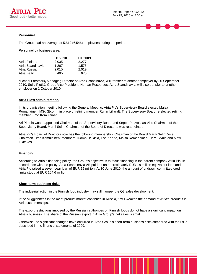

#### **Personnel**

The Group had an average of 5,812 (6,546) employees during the period.

Personnel by business area:

|                   | H <sub>1</sub> /2010 | H1/2009 |
|-------------------|----------------------|---------|
| Atria Finland     | 2.035                | 2.277   |
| Atria Scandinavia | 1.267                | 1.575   |
| Atria Russia      | 2.015                | 2.019   |
| Atria Baltic      | 495                  | 675     |

Michael Forsmark**,** Managing Director of Atria Scandinavia, will transfer to another employer by 30 September 2010. Seija Pietilä, Group Vice President, Human Resources, Atria Scandinavia, will also transfer to another employer on 1 October 2010.

#### **Atria Plc's administration**

In its organisation meeting following the General Meeting, Atria Plc's Supervisory Board elected Maisa Romanainen, MSc (Econ.), in place of retiring member Runar Lillandt. The Supervisory Board re-elected retiring member Timo Komulainen.

Ari Pirkola was reappointed Chairman of the Supervisory Board and Seppo Paavola as Vice Chairman of the Supervisory Board. Martti Selin, Chairman of the Board of Directors, was reappointed.

Atria Plc's Board of Directors now has the following membership: Chairman of the Board Martti Selin; Vice Chairman Timo Komulainen; members Tuomo Heikkilä, Esa Kaarto, Maisa Romanainen, Harri Sivula and Matti Tikkakoski.

#### **Financing**

According to Atria's financing policy, the Group's objective is to focus financing in the parent company Atria Plc. In accordance with the policy, Atria Scandinavia AB paid off an approximately EUR 18 million equivalent loan and Atria Plc raised a seven-year loan of EUR 15 million. At 30 June 2010, the amount of undrawn committed credit limits stood at EUR 104.6 million.

#### **Short-term business risks**

The industrial action in the Finnish food industry may still hamper the Q3 sales development.

If the sluggishness in the meat product market continues in Russia, it will weaken the demand of Atria's products in Atria customerships.

The export restrictions imposed by the Russian authorities on Finnish foods do not have a significant impact on Atria's business. The share of the Russian export in Atria Group's net sales is small.

Otherwise, no significant changes have occurred in Atria Group's short-term business risks compared with the risks described in the financial statements of 2009.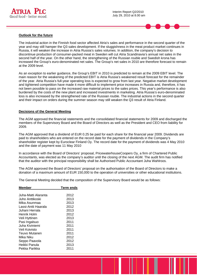

#### **Outlook for the future**

The industrial action in the Finnish food sector affected Atria's sales and performance in the second quarter of the year and may still hamper the Q3 sales development. If the sluggishness in the meat product market continues in Russia, it will weaken the increase in Atria Russia's sales volumes. In addition, the company's decision to discontinue production of consumer-packed meat in Sweden will cut Atria Scandinavia's annual net sales in the second half of the year. On the other hand, the strengthening of the Russian rouble and Swedish krona has increased the Group's euro-denominated net sales. The Group's net sales in 2010 are therefore forecast to remain at the 2009 level.

As an exception to earlier guidance, the Group's EBIT in 2010 is predicted to remain at the 2009 EBIT level. The main reason for the weakening of the predicted EBIT is Atria Russia's weakened result forecast for the remainder of the year. Atria Russia's full-year operating loss is expected to grow from last year. Negative market development and tightened competition have made it more difficult to implement price increases in Russia and, therefore, it has not been possible to pass on the increased raw material prices to the sales prices. This year's performance is also burdened by the costs of the new plant and increased investments in marketing. Atria Russia's euro-denominated loss is also increased by the strengthened rate of the Russian rouble. The industrial actions in the second quarter and their impact on orders during the summer season may still weaken the Q3 result of Atria Finland.

#### **Decisions of the General Meeting**

The AGM approved the financial statements and the consolidated financial statements for 2009 and discharged the members of the Supervisory Board and the Board of Directors as well as the President and CEO from liability for 2009.

The AGM approved that a dividend of EUR 0.25 be paid for each share for the financial year 2009. Dividends are paid to shareholders who are entered on the record date for the payment of dividends in the Company's shareholder register kept by Euroclear Finland Oy. The record date for the payment of dividends was 4 May 2010 and the date of payment was 11 May 2010

In accordance with the Board of Directors' proposal, PricewaterhouseCoopers Oy, a firm of Chartered Public Accountants, was elected as the company's auditor until the closing of the next AGM. The audit firm has notified that the auditor with the principal responsibility shall be Authorised Public Accountant Juha Wahlroos.

The AGM approved the Board of Directors' proposal on the authorisation of the Board of Directors to make a donation of a maximum amount of EUR 150,000 to the operation of universities or other educational institutions.

The General Meeting decided that the composition of the Supervisory Board would be as follows:

| Member               | <b>Term ends</b> |
|----------------------|------------------|
|                      |                  |
| Juha-Matti Alaranta. | 2012             |
| Juho Anttikoski      | 2013             |
| Mika Asunmaa         | 2013             |
| Lassi-Antti Haarala  | 2012             |
| Juhani Herrala       | 2013             |
| Henrik Holm          | 2012             |
| Veli Hyttinen        | 2013             |
| Pasi Ingalsuo        | 2011             |
| Juha Kiviniemi       | 2011             |
| Veli Koivisto        | 2011             |
| Teuvo Mutanen        | 2011             |
| Mika Niku            | 2012             |
| Seppo Paavola        | 2012             |
| Heikki Panula        | 2013             |
| Pekka Parikka        | 2011             |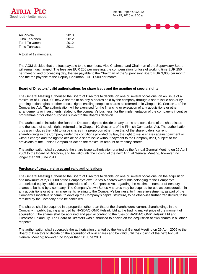

| Ari Pirkola     | 2013 |
|-----------------|------|
| Juho Tervonen   | 2012 |
| Tomi Toivanen   | 2012 |
| Timo Tuhkasaari | 2011 |

A total of 19 members.

The AGM decided that the fees payable to the members, Vice Chairman and Chairman of the Supervisory Board will remain unchanged. The fees are EUR 250 per meeting, the compensation for loss of working time EUR 250 per meeting and proceeding day, the fee payable to the Chairman of the Supervisory Board EUR 3,000 per month and the fee payable to the Deputy Chairman EUR 1,500 per month.

#### **Board of Directors' valid authorisations for share issue and the granting of special rights**

The General Meeting authorised the Board of Directors to decide, on one or several occasions, on an issue of a maximum of 12,800,000 new A shares or on any A shares held by the company through a share issue and/or by granting option rights or other special rights entitling people to shares as referred to in Chapter 10, Section 1 of the Companies Act. The authorisation will be exercised for the financing or execution of any acquisitions or other arrangements or investments related to the company's business, for the implementation of the company's incentive programme or for other purposes subject to the Board's decision.

The authorisation includes the Board of Directors' right to decide on any terms and conditions of the share issue and the issue of special rights referred to in Chapter 10, Section 1 of the Finnish Companies Act. The authorisation thus also includes the right to issue shares in a proportion other than that of the shareholders' current shareholdings in the Company under the conditions provided by law, the right to issue shares against payment or without charge and the right to decide on a share issue without payment to the Company itself, subject to the provisions of the Finnish Companies Act on the maximum amount of treasury shares.

The authorisation shall supersede the share issue authorisation granted by the Annual General Meeting on 29 April 2009 to the Board of Directors, and be valid until the closing of the next Annual General Meeting, however, no longer than 30 June 2011.

#### **Purchase of treasury shares and valid authorisations**

The General Meeting authorised the Board of Directors to decide, on one or several occasions, on the acquisition of a maximum of 2,800,000 of the Company's own Series A shares with funds belonging to the Company's unrestricted equity, subject to the provisions of the Companies Act regarding the maximum number of treasury shares to be held by a company. The Company's own Series A shares may be acquired for use as consideration in any acquisitions or other arrangements relating to the Company's business, to finance investments, as part of the Company's incentive scheme, to develop the Company's capital structure, to be otherwise further transferred, to be retained by the Company or to be cancelled.

The shares shall be acquired in a proportion other than that of the shareholders' current shareholdings in the Company in public trading arranged by NASDAQ OMX Helsinki Ltd at the trading market price of the moment of acquisition. The shares shall be acquired and paid according to the rules of NASDAQ OMX Helsinki Ltd and Euroclear Finland Oy. The Board of Directors was authorised to decide on the acquisition of own shares in all other respects.

The authorisation shall supersede the authorisation granted by the Annual General Meeting on 29 April 2009 to the Board of Directors to decide on the acquisition of own shares and be valid until the closing of the next Annual General Meeting; however, no longer than 30 June 2011.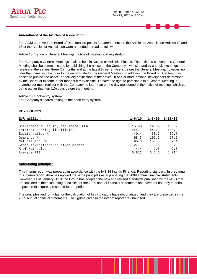



#### **Amendment of the Articles of Association**

The AGM approved the Board of Directors' proposals for amendments to the Articles of Association Articles 13 and 15 of the Articles of Association were amended to read as follows:

Article 13: Venue of General Meetings, notice of meeting and registration

The Company's General Meetings shall be held in Kuopio or Helsinki, Finland. The notice to convene the General Meeting shall be communicated by publishing the notice on the Company's website and by a stock exchange release at the earliest three (3) months and at the latest three (3) weeks before the General Meeting, however, no later than nine (9) days prior to the record date for the General Meeting. In addition, the Board of Directors may decide to publish the notice, or delivery notification of the notice, in one or more national newspapers determined by the Board, or in some other manner it may decide. To have the right to participate in a General Meeting, a shareholder must register with the Company no later than on the day mentioned in the notice of meeting, which can be no earlier than ten (10) days before the meeting.

Article 15: Book-entry system

The Company's shares belong to the book-entry system.

#### **KEY FIGURES**

| EUR million                         | $1 - 6/10$ |       | $1 - 6/09$ $1 - 12/09$ |
|-------------------------------------|------------|-------|------------------------|
|                                     |            |       |                        |
| Shareholders' equity per share, EUR | 15.90      | 14.89 | 15.39                  |
| Interest-bearing liabilities        | 444.1      | 448.8 | 425.8                  |
| Equity ratio, %                     | 40.4       | 38.7  | 39.7                   |
| Gearing, %                          | 98.3       | 106.2 | 97.5                   |
| Net gearing, %                      | 95.8       | 100.3 | 89.4                   |
| Gross investments to fixed assets   | 27.1       | 16.6  | 33.0                   |
| % of Net sales                      | 4.4        | 2.6   | 2.5                    |
| Average FTE                         | 5 812      | 6 546 | 6 214                  |

#### **Accounting principles**

This interim report was prepared in accordance with the IAS 34 Interim Financial Reporting standard. In preparing this interim report, Atria has applied the same principles as in preparing the 2009 annual financial statements. However, as of January 2010, the Group has adopted the new and revised standards published by the IASB that are included in the accounting principles for the 2009 annual financial statements and have not had any material impact on the figures presented for the period.

The principles and formulae for the calculation of key indicators have not changed, and they are presented in the 2009 annual financial statements. The figures given in the interim report are unaudited.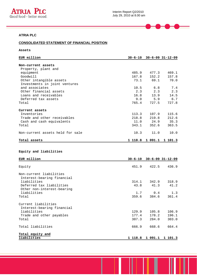

 $\equiv$ 

 $\equiv$ 

# **ATRIA PLC**

# **CONSOLIDATED STATEMENT OF FINANCIAL POSITION**

**Assets** 

| EUR million                      |         |         | $30 - 6 - 10$ $30 - 6 - 09$ $31 - 12 - 09$ |
|----------------------------------|---------|---------|--------------------------------------------|
|                                  |         |         |                                            |
| Non-current assets               |         |         |                                            |
| Property, plant and              |         |         |                                            |
| equipment                        | 485.9   | 477.3   | 469.1                                      |
| Goodwill                         | 167.8   | 152.2   | 157.8                                      |
| Other intangible assets          | 73.1    | 69.1    | 70.0                                       |
| Investments in joint ventures    |         |         |                                            |
| and associates                   | 10.5    | 6.8     | 7.4                                        |
| Other financial assets           | 2.3     | 2.3     | 2.3                                        |
| Loans and receivables            | 16.8    | 13.9    | 14.5                                       |
| Deferred tax assets              | 9.0     | 5.9     | 6.7                                        |
| Total                            | 765.4   | 727.5   | 727.8                                      |
| Current assets                   |         |         |                                            |
| Inventories                      | 113.3   | 107.9   | 115.6                                      |
| Trade and other receivables      | 218.8   | 219.8   | 212.6                                      |
| Cash and cash equivalents        | 11.0    | 24.9    | 35.3                                       |
| Total                            | 343.1   | 352.6   | 363.5                                      |
| Non-current assets held for sale | 10.3    | 11.0    | 10.0                                       |
| Total assets                     | 1 118.8 | 1 091.1 | 1 101.3                                    |

#### **Equity and liabilities**

| EUR million                                                                                  |                |                | $30 - 6 - 10$ $30 - 6 - 09$ $31 - 12 - 09$ |
|----------------------------------------------------------------------------------------------|----------------|----------------|--------------------------------------------|
| Equity                                                                                       | 451.9          | 422.5          | 436.9                                      |
| Non-current liabilities<br>Interest-bearing financial                                        |                |                |                                            |
| liabilities<br>Deferred tax liabilities<br>Other non-interest-bearing                        | 314.1<br>43.8  | 342.9<br>41.3  | 318.9<br>41.2                              |
| liabilities<br>Total                                                                         | 1.7<br>359.6   | 0.4<br>384.6   | 1.3<br>361.4                               |
| Current liabilities<br>Interest-bearing financial<br>liabilities<br>Trade and other payables | 129.9<br>177.4 | 105.8<br>178.2 | 106.9<br>196.1                             |
| Total<br>Total liabilities                                                                   | 307.3<br>666.9 | 284.0<br>668.6 | 303.0<br>664.4                             |
| Total equity and<br>liabilities                                                              | 1 118.8        | 1 091.1        | 1 101.3                                    |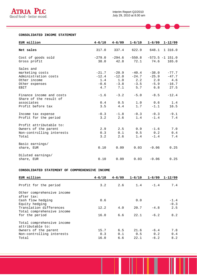

 $\blacktriangleright$ 

<u>rest</u>

⊟

#### **CONSOLIDATED INCOME STATEMENT**

| EUR million                                                                                    | $4 - 6/10$                                 | $4 - 6/09$                                 | $1 - 6/10$                                 | $1 - 6/09$                                 | $1 - 12/09$                                  |
|------------------------------------------------------------------------------------------------|--------------------------------------------|--------------------------------------------|--------------------------------------------|--------------------------------------------|----------------------------------------------|
| Net sales                                                                                      | 317.0                                      | 337.4                                      | 622.9                                      | 648.1                                      | 1 316.0                                      |
| Cost of goods sold<br>Gross profit                                                             | $-279.0$<br>38.0                           | $-294.6$<br>42.8                           | $-550.8$<br>72.1                           | 74.6                                       | $-573.5 -1$ 151.0<br>165.0                   |
| Sales and<br>marketing costs<br>Administration costs<br>Other income<br>Other expenses<br>EBIT | $-21.7$<br>$-12.4$<br>1.4<br>$-0.6$<br>4.7 | $-20.9$<br>$-12.0$<br>1.0<br>$-3.8$<br>7.1 | $-40.4$<br>$-24.7$<br>2.2<br>$-3.5$<br>5.7 | $-38.0$<br>$-25.9$<br>2.0<br>$-5.9$<br>6.8 | $-77.7$<br>$-47.7$<br>4.6<br>$-16.7$<br>27.5 |
| Finance income and costs<br>Share of the result of<br>associates<br>Profit before tax          | $-1.6$<br>0.4<br>3.5                       | $-3.2$<br>0.5<br>4.4                       | $-5.0$<br>1.0<br>1.7                       | $-8.5$<br>0.6<br>$-1.1$                    | $-12.4$<br>1.4<br>16.5                       |
| Income tax expense<br>Profit for the period                                                    | $-0.3$<br>3.2                              | $-1.8$<br>2.6                              | $-0.3$<br>1.4                              | $-0.3$<br>$-1.4$                           | $-9.1$<br>7.4                                |
| Profit attributable to:<br>Owners of the parent<br>Non-controlling interests<br>Total          | 2.9<br>0.3<br>3.2                          | 2.5<br>0.1<br>2.6                          | 0.9<br>0.5<br>1.4                          | $-1.6$<br>0.2<br>$-1.4$                    | 7.0<br>0.4<br>7.4                            |
| Basic earnings/<br>share, EUR                                                                  | 0.10                                       | 0.09                                       | 0.03                                       | $-0.06$                                    | 0.25                                         |
| Diluted earnings/<br>share, EUR                                                                | 0.10                                       | 0.09                                       | 0.03                                       | $-0.06$                                    | 0.25                                         |

#### **CONSOLIDATED STATEMENT OF COMPREHENSIVE INCOME**

| EUR million                                           | $4 - 6/10$ | $4 - 6/09$ | $1 - 6/10$ | $1 - 6/09$ | $1 - 12/09$      |
|-------------------------------------------------------|------------|------------|------------|------------|------------------|
| Profit for the period                                 | 3.2        | 2.6        | 1.4        | $-1.4$     | 7.4              |
| Other comprehensive income<br>after tax:              |            |            |            |            |                  |
| Cash flow hedging<br>Equity hedging                   | 0.6        |            | 0.0        |            | $-1.4$<br>$-0.3$ |
| Translation differences<br>Total comprehensive income | 12.2       | 4.0        | 20.7       | $-4.8$     | 2.5              |
| for the period                                        | 16.0       | 6.6        | 22.1       | $-6.2$     | 8.2              |
| Total comprehensive income<br>attributable to:        |            |            |            |            |                  |
| Owners of the parent                                  | 15.7       | 6.5        | 21.6       | $-6.4$     | 7.8              |
| Non-controlling interests                             | 0.3        | 0.1        | 0.5        | 0.2        | 0.4              |
| Total                                                 | 16.0       | 6.6        | 22.1       | $-6.2$     | 8.2              |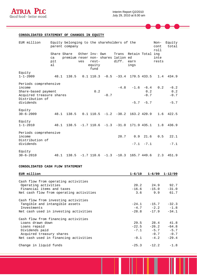

╼

 $\equiv$ 

### **CONSOLIDATED STATEMENT OF CHANGES IN EQUITY**

| EUR million                                                                                           | Equity belonging to the shareholders of the<br>parent company |                                     |                       |                         |        |                                           | Non-<br>cont<br>roll             | Equity<br>total |               |                         |
|-------------------------------------------------------------------------------------------------------|---------------------------------------------------------------|-------------------------------------|-----------------------|-------------------------|--------|-------------------------------------------|----------------------------------|-----------------|---------------|-------------------------|
|                                                                                                       | Share Share<br>ca<br>pit<br>al                                | premium reser non- shares lation ed | Other Inv- Own<br>ves | rest-<br>equity<br>fund |        | Trans<br>diff.                            | Retain Total ing<br>earn<br>ings |                 | inte<br>rests |                         |
| Equity<br>$1 - 1 - 2009$                                                                              | 48.1                                                          | 138.5                               |                       |                         |        | $0.1$ 110.3 $-0.5$ $-33.4$ 170.5 433.5    |                                  |                 | 1.4           | 434.9                   |
| Periods comprehensive<br>income<br>Share-based payment<br>Acquired treasure shares<br>Distribution of |                                                               |                                     |                       | 0.2                     | $-0.7$ |                                           | $-4.8$ $-1.6$ $-6.4$             | 0.2<br>$-0.7$   | 0.2           | $-6.2$<br>0.2<br>$-0.7$ |
| dividends                                                                                             |                                                               |                                     |                       |                         |        |                                           |                                  | $-5.7 - 5.7$    |               | $-5.7$                  |
| Equity<br>$30 - 6 - 2009$                                                                             | 48.1                                                          | 138.5                               |                       |                         |        | $0.1$ 110.5 $-1.2$ $-38.2$ 163.2 420.9    |                                  |                 | 1.6           | 422.5                   |
| Equity<br>$1 - 1 - 2010$                                                                              | 48.1                                                          |                                     |                       |                         |        | $138.5$ -1.7 110.6 -1.3 -31.0 171.9 435.1 |                                  |                 | 1.8           | 436.9                   |
| Periods comprehensive<br>income<br>Distribution of                                                    |                                                               |                                     |                       |                         |        | 20.7                                      |                                  | $0.9$ 21.6      | 0.5           | 22.1                    |
| dividends                                                                                             |                                                               |                                     |                       |                         |        |                                           |                                  | $-7.1 - 7.1$    |               | $-7.1$                  |
| Equity<br>$30 - 6 - 2010$                                                                             | 48.1                                                          |                                     |                       |                         |        | $138.5$ -1.7 110.6 -1.3 -10.3 165.7 449.6 |                                  |                 | 2.3           | 451.9                   |

#### **CONSOLIDATED CASH FLOW STATEMENT**

| EUR million                             |                      | $1-6/10$ $1-6/09$ $1-12/09$ |
|-----------------------------------------|----------------------|-----------------------------|
|                                         |                      |                             |
| Cash flow from operating activities     |                      |                             |
| Operating activities                    | 20.2 24.9 92.7       |                             |
| Financial items and taxes               | $-16.6 -15.0$        | $-31.0$                     |
| Net cash flow from operating activities | $3.6$ 9.9            | 61.7                        |
| Cash flow from investing activities     |                      |                             |
| Tangible and intangible assets          | $-24.1 -15.7 -32.3$  |                             |
| Investments                             | $-4.7$ $-2.2$ $-1.8$ |                             |
| Net cash used in investing activities   |                      | $-28.8$ $-17.9$ $-34.1$     |
| Cash flow from financing activities     |                      |                             |
| Loans drawn down                        | 29.5 28.4 41.8       |                             |
| Loans repaid                            | $-22.5 -26.2$        | $-64.8$                     |
| Dividends paid                          | $-7.1 -5.7 -5.7$     |                             |
|                                         |                      | $-0.7 -0.7$                 |
| Acquired treasury shares                |                      |                             |
| Net cash used in financing activities   | $-0.1 -4.2$          | $-29.4$                     |
| Change in liquid funds                  |                      | $-25.3 -12.2 -1.8$          |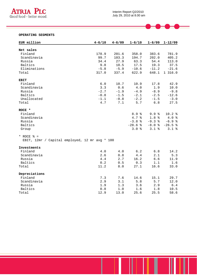

 $\blacktriangleright$ 

 $\mathbf{r}$ 

 $\blacksquare$ 

#### **OPERATING SEGMENTS**

| EUR million                                    | $4 - 6/10$ | $4 - 6/09$ | $1 - 6/10$ | $1 - 6/09$       | $1 - 12/09$ |
|------------------------------------------------|------------|------------|------------|------------------|-------------|
|                                                |            |            |            |                  |             |
| Net sales                                      |            |            |            |                  |             |
| Finland                                        | 178.9      | 201.6      | 358.0      | 383.6            | 781.9       |
| Scandinavia                                    | 99.7       | 103.3      | 194.7      | 202.0            | 405.2       |
| Russia                                         | 34.4       | 27.9       | 63.3       | 54.4             | 113.0       |
| Baltics                                        | 9.8        | 10.5       | 17.5       | 19.3             | 37.5        |
| Eliminations                                   | $-5.8$     | $-5.9$     | $-10.6$    | $-11.2$          | $-21.6$     |
| Total                                          | 317.0      | 337.4      | 622.9      | 648.1            | 1 316.0     |
| <b>EBIT</b>                                    |            |            |            |                  |             |
| Finland                                        | $6.0$      | 10.7       | 10.9       | 17.8             | 42.9        |
| Scandinavia                                    | 3.3        | 0.6        | 4.0        | 1.9              | 10.0        |
| Russia                                         | $-2.7$     | $-1.9$     | $-4.9$     | $-8.9$           | $-9.8$      |
| Baltics                                        | $-0.8$     | $-1.5$     | $-2.1$     | $-2.5$           | $-12.6$     |
| Unallocated                                    | $-1.1$     | $-0.8$     | $-2.2$     | $-1.5$           | $-3.0$      |
| Total                                          | 4.7        | 7.1        | 5.7        | 6.8              | 27.5        |
| ROCE *                                         |            |            |            |                  |             |
| Finland                                        |            |            | 8.9%       | 9.9 <sub>8</sub> | 10.2%       |
| Scandinavia                                    |            |            | 4.7%       | 1.8 <sup>°</sup> | 4.0%        |
| Russia                                         |            |            | $-3.8$ %   | $-9.3$ %         | $-6.9$ %    |
| Baltics                                        |            |            | $-28.6%$   | $-8.0$ %         | $-26.5%$    |
| Group                                          |            |            | 3.0%       | $3.1$ %          | $3.1$ %     |
|                                                |            |            |            |                  |             |
| * ROCE $\frac{1}{2}$ =                         |            |            |            |                  |             |
| EBIT, 12mr / Capital employed, 12 mr avg * 100 |            |            |            |                  |             |
| Investments                                    |            |            |            |                  |             |
| Finland                                        | $4.0$      | 4.0        | 6.2        | $6.8$            | 14.2        |
| Scandinavia                                    | 2.6        | 0.8        | 4.4        | 2.1              | 5.3         |
| Russia                                         | 4.4        | 2.7        | 16.2       | 6.6              | 11.9        |
| Baltics                                        | 0.2        | 0.5        | 0.3        | 1.1              | 1.6         |
| Total                                          | 11.2       | 8.0        | 27.1       | 16.6             | 33.0        |
| Depreciations                                  |            |            |            |                  |             |
| Finland                                        | 7.3        | 7.6        | 14.6       | 15.1             | 29.7        |
| Scandinavia                                    | 2.9        | 3.1        | 5.8        | 5.7              | 12.0        |
| Russia                                         | 1.9        | 1.3        | 3.6        | 2.9              | $6.4$       |
| <b>Baltics</b>                                 | 0.8        | 1.0        | 1.6        | 1.8              | 10.5        |
| Total                                          | 12.9       | 13.0       | 25.6       | 25.5             | 58.6        |
|                                                |            |            |            |                  |             |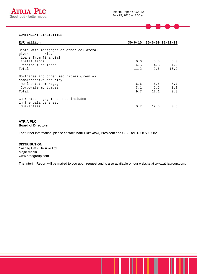

#### **CONTINGENT LIABILITIES**

| EUR million                                                       |      |      | $30 - 6 - 10$ $30 - 6 - 09$ $31 - 12 - 09$ |
|-------------------------------------------------------------------|------|------|--------------------------------------------|
|                                                                   |      |      |                                            |
| Debts with mortgages or other collateral                          |      |      |                                            |
| given as security                                                 |      |      |                                            |
| Loans from financial                                              |      |      |                                            |
| institutions                                                      | 6.6  | 5.3  | 6.0                                        |
| Pension fund loans                                                | 4.6  | 4.3  | 4.2                                        |
| Total                                                             | 11.2 | 9.6  | 10.2                                       |
| Mortgages and other securities given as<br>comprehensive security |      |      |                                            |
| Real estate mortgages                                             | 6.6  | 6.6  | 6.7                                        |
| Corporate mortgages                                               | 3.1  | 5.5  | 3.1                                        |
| Total                                                             | 9.7  | 12.1 | 9.8                                        |
| Guarantee engagements not included<br>in the balance sheet        |      |      |                                            |
| Guarantees                                                        | 0.7  | 12.8 | 0.8                                        |

#### **ATRIA PLC Board of Directors**

For further information, please contact Matti Tikkakoski, President and CEO, tel. +358 50 2582.

**DISTRIBUTION**  Nasdaq OMX Helsinki Ltd Major media www.atriagroup.com

The Interim Report will be mailed to you upon request and is also available on our website at www.atriagroup.com.